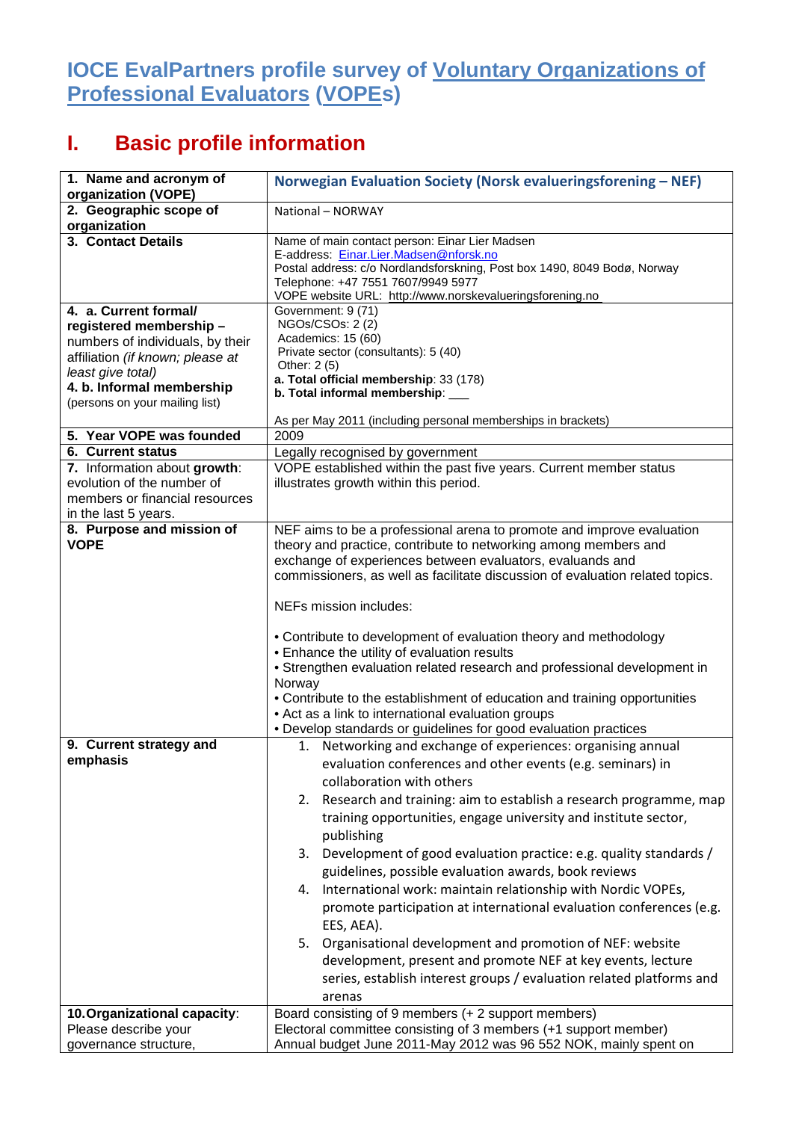## **IOCE EvalPartners profile survey of Voluntary Organizations of Professional Evaluators (VOPEs)**

## **I. Basic profile information**

| 1. Name and acronym of<br>organization (VOPE)                | Norwegian Evaluation Society (Norsk evalueringsforening - NEF)                                                                      |
|--------------------------------------------------------------|-------------------------------------------------------------------------------------------------------------------------------------|
| 2. Geographic scope of<br>organization                       | National - NORWAY                                                                                                                   |
| 3. Contact Details                                           | Name of main contact person: Einar Lier Madsen                                                                                      |
|                                                              | E-address: Einar.Lier.Madsen@nforsk.no                                                                                              |
|                                                              | Postal address: c/o Nordlandsforskning, Post box 1490, 8049 Bodø, Norway<br>Telephone: +47 7551 7607/9949 5977                      |
|                                                              | VOPE website URL: http://www.norskevalueringsforening.no                                                                            |
| 4. a. Current formal/                                        | Government: 9 (71)                                                                                                                  |
| registered membership-                                       | NGOs/CSOs: 2(2)                                                                                                                     |
| numbers of individuals, by their                             | Academics: 15 (60)<br>Private sector (consultants): 5 (40)                                                                          |
| affiliation (if known; please at                             | Other: 2 (5)                                                                                                                        |
| least give total)<br>4. b. Informal membership               | a. Total official membership: 33 (178)                                                                                              |
| (persons on your mailing list)                               | b. Total informal membership: ___                                                                                                   |
|                                                              | As per May 2011 (including personal memberships in brackets)                                                                        |
| 5. Year VOPE was founded                                     | 2009                                                                                                                                |
| <b>6. Current status</b>                                     | Legally recognised by government                                                                                                    |
| 7. Information about growth:                                 | VOPE established within the past five years. Current member status                                                                  |
| evolution of the number of<br>members or financial resources | illustrates growth within this period.                                                                                              |
| in the last 5 years.                                         |                                                                                                                                     |
| 8. Purpose and mission of                                    | NEF aims to be a professional arena to promote and improve evaluation                                                               |
| <b>VOPE</b>                                                  | theory and practice, contribute to networking among members and                                                                     |
|                                                              | exchange of experiences between evaluators, evaluands and                                                                           |
|                                                              | commissioners, as well as facilitate discussion of evaluation related topics.                                                       |
|                                                              | NEFs mission includes:                                                                                                              |
|                                                              |                                                                                                                                     |
|                                                              | • Contribute to development of evaluation theory and methodology                                                                    |
|                                                              | • Enhance the utility of evaluation results                                                                                         |
|                                                              | • Strengthen evaluation related research and professional development in                                                            |
|                                                              | Norway<br>• Contribute to the establishment of education and training opportunities                                                 |
|                                                              | • Act as a link to international evaluation groups                                                                                  |
|                                                              | • Develop standards or guidelines for good evaluation practices                                                                     |
| 9. Current strategy and                                      | 1. Networking and exchange of experiences: organising annual                                                                        |
| emphasis                                                     | evaluation conferences and other events (e.g. seminars) in                                                                          |
|                                                              | collaboration with others                                                                                                           |
|                                                              | 2. Research and training: aim to establish a research programme, map                                                                |
|                                                              | training opportunities, engage university and institute sector,                                                                     |
|                                                              | publishing                                                                                                                          |
|                                                              | 3. Development of good evaluation practice: e.g. quality standards /                                                                |
|                                                              |                                                                                                                                     |
|                                                              | guidelines, possible evaluation awards, book reviews                                                                                |
|                                                              | International work: maintain relationship with Nordic VOPEs,<br>4.                                                                  |
|                                                              | promote participation at international evaluation conferences (e.g.                                                                 |
|                                                              | EES, AEA).                                                                                                                          |
|                                                              | 5. Organisational development and promotion of NEF: website                                                                         |
|                                                              | development, present and promote NEF at key events, lecture                                                                         |
|                                                              | series, establish interest groups / evaluation related platforms and                                                                |
|                                                              | arenas                                                                                                                              |
| 10. Organizational capacity:                                 | Board consisting of 9 members (+ 2 support members)                                                                                 |
| Please describe your                                         | Electoral committee consisting of 3 members (+1 support member)<br>Annual budget June 2011-May 2012 was 96 552 NOK, mainly spent on |
| governance structure,                                        |                                                                                                                                     |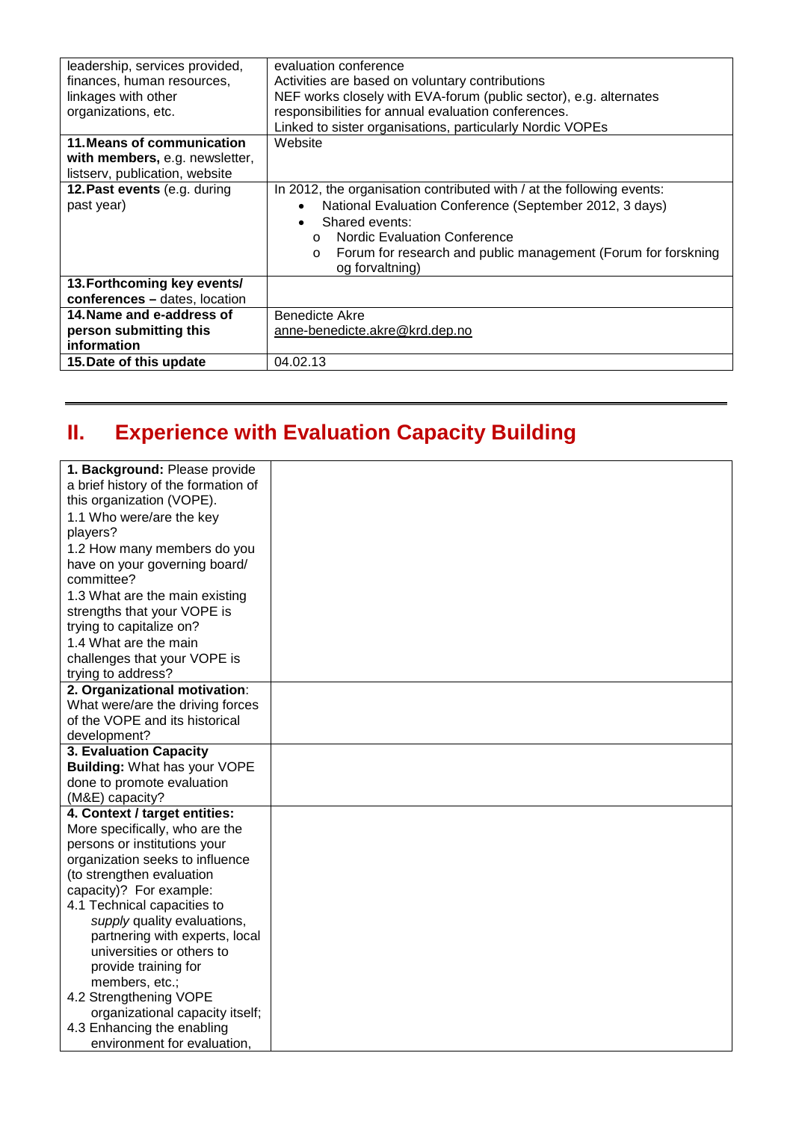| leadership, services provided, | evaluation conference                                                    |
|--------------------------------|--------------------------------------------------------------------------|
| finances, human resources,     | Activities are based on voluntary contributions                          |
| linkages with other            | NEF works closely with EVA-forum (public sector), e.g. alternates        |
| organizations, etc.            | responsibilities for annual evaluation conferences.                      |
|                                | Linked to sister organisations, particularly Nordic VOPEs                |
| 11. Means of communication     | Website                                                                  |
| with members, e.g. newsletter, |                                                                          |
| listserv, publication, website |                                                                          |
| 12. Past events (e.g. during   | In 2012, the organisation contributed with / at the following events:    |
| past year)                     | National Evaluation Conference (September 2012, 3 days)                  |
|                                | Shared events:                                                           |
|                                | <b>Nordic Evaluation Conference</b><br>$\Omega$                          |
|                                | Forum for research and public management (Forum for forskning<br>$\circ$ |
|                                | og forvaltning)                                                          |
| 13. Forthcoming key events/    |                                                                          |
| conferences - dates, location  |                                                                          |
| 14. Name and e-address of      | Benedicte Akre                                                           |
| person submitting this         | anne-benedicte.akre@krd.dep.no                                           |
| information                    |                                                                          |
| 15. Date of this update        | 04.02.13                                                                 |
|                                |                                                                          |

## **II. Experience with Evaluation Capacity Building**

| 1. Background: Please provide       |  |
|-------------------------------------|--|
| a brief history of the formation of |  |
| this organization (VOPE).           |  |
| 1.1 Who were/are the key            |  |
| players?                            |  |
| 1.2 How many members do you         |  |
| have on your governing board/       |  |
| committee?                          |  |
| 1.3 What are the main existing      |  |
| strengths that your VOPE is         |  |
| trying to capitalize on?            |  |
| 1.4 What are the main               |  |
| challenges that your VOPE is        |  |
| trying to address?                  |  |
| 2. Organizational motivation:       |  |
| What were/are the driving forces    |  |
| of the VOPE and its historical      |  |
| development?                        |  |
| 3. Evaluation Capacity              |  |
| <b>Building: What has your VOPE</b> |  |
| done to promote evaluation          |  |
| (M&E) capacity?                     |  |
| 4. Context / target entities:       |  |
| More specifically, who are the      |  |
| persons or institutions your        |  |
| organization seeks to influence     |  |
| (to strengthen evaluation           |  |
| capacity)? For example:             |  |
| 4.1 Technical capacities to         |  |
| supply quality evaluations,         |  |
| partnering with experts, local      |  |
| universities or others to           |  |
| provide training for                |  |
| members, etc.;                      |  |
| 4.2 Strengthening VOPE              |  |
| organizational capacity itself;     |  |
| 4.3 Enhancing the enabling          |  |
| environment for evaluation,         |  |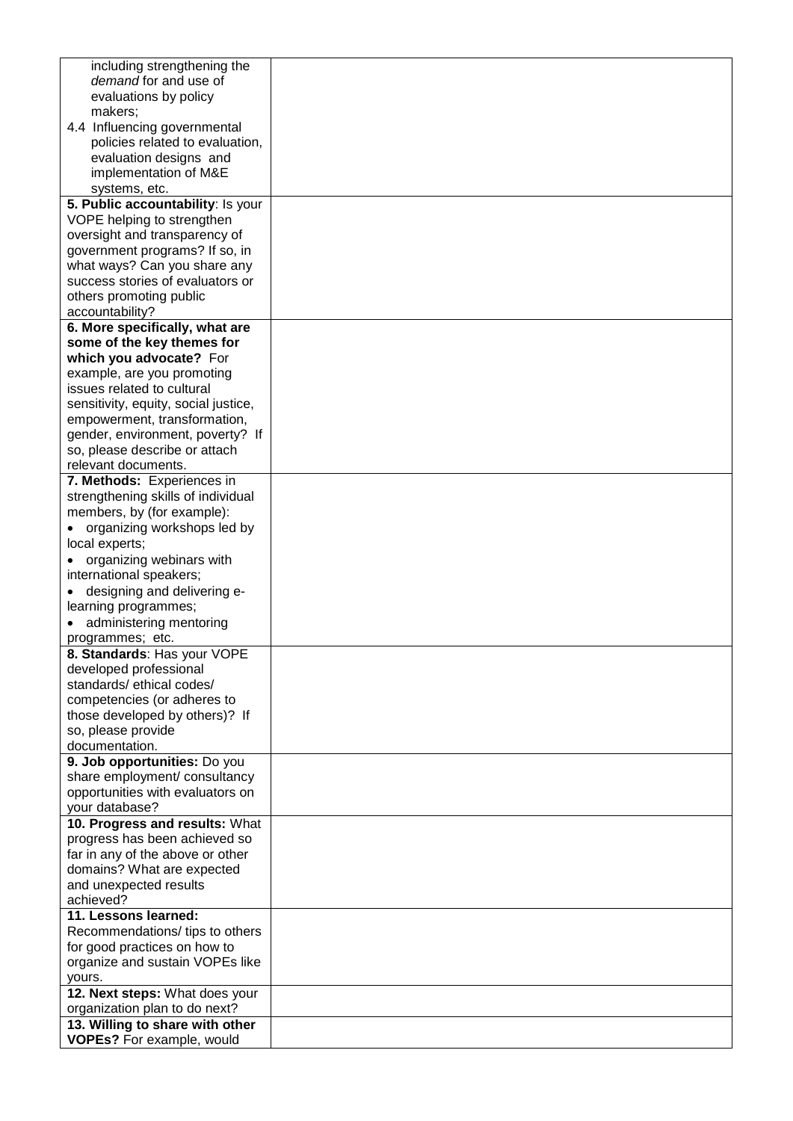| including strengthening the                                      |  |
|------------------------------------------------------------------|--|
| demand for and use of                                            |  |
| evaluations by policy                                            |  |
| makers;                                                          |  |
| 4.4 Influencing governmental                                     |  |
| policies related to evaluation,                                  |  |
| evaluation designs and                                           |  |
| implementation of M&E                                            |  |
| systems, etc.                                                    |  |
| 5. Public accountability: Is your                                |  |
| VOPE helping to strengthen                                       |  |
| oversight and transparency of                                    |  |
| government programs? If so, in                                   |  |
| what ways? Can you share any                                     |  |
| success stories of evaluators or                                 |  |
| others promoting public                                          |  |
| accountability?                                                  |  |
| 6. More specifically, what are                                   |  |
| some of the key themes for                                       |  |
| which you advocate? For                                          |  |
|                                                                  |  |
| example, are you promoting<br>issues related to cultural         |  |
| sensitivity, equity, social justice,                             |  |
| empowerment, transformation,                                     |  |
| gender, environment, poverty? If                                 |  |
|                                                                  |  |
| so, please describe or attach                                    |  |
| relevant documents.                                              |  |
| 7. Methods: Experiences in<br>strengthening skills of individual |  |
|                                                                  |  |
| members, by (for example):                                       |  |
| organizing workshops led by                                      |  |
| local experts;                                                   |  |
| organizing webinars with                                         |  |
| international speakers;                                          |  |
| designing and delivering e-                                      |  |
| learning programmes;                                             |  |
| administering mentoring                                          |  |
| programmes; etc.                                                 |  |
| 8. Standards: Has your VOPE                                      |  |
| developed professional                                           |  |
| standards/ethical codes/                                         |  |
| competencies (or adheres to                                      |  |
| those developed by others)? If                                   |  |
| so, please provide                                               |  |
| documentation.                                                   |  |
| 9. Job opportunities: Do you                                     |  |
| share employment/ consultancy                                    |  |
| opportunities with evaluators on                                 |  |
| your database?                                                   |  |
| 10. Progress and results: What                                   |  |
| progress has been achieved so                                    |  |
| far in any of the above or other                                 |  |
| domains? What are expected                                       |  |
| and unexpected results<br>achieved?                              |  |
| 11. Lessons learned:                                             |  |
|                                                                  |  |
| Recommendations/tips to others                                   |  |
| for good practices on how to                                     |  |
| organize and sustain VOPEs like                                  |  |
| yours.<br>12. Next steps: What does your                         |  |
| organization plan to do next?                                    |  |
| 13. Willing to share with other                                  |  |
| <b>VOPEs?</b> For example, would                                 |  |
|                                                                  |  |